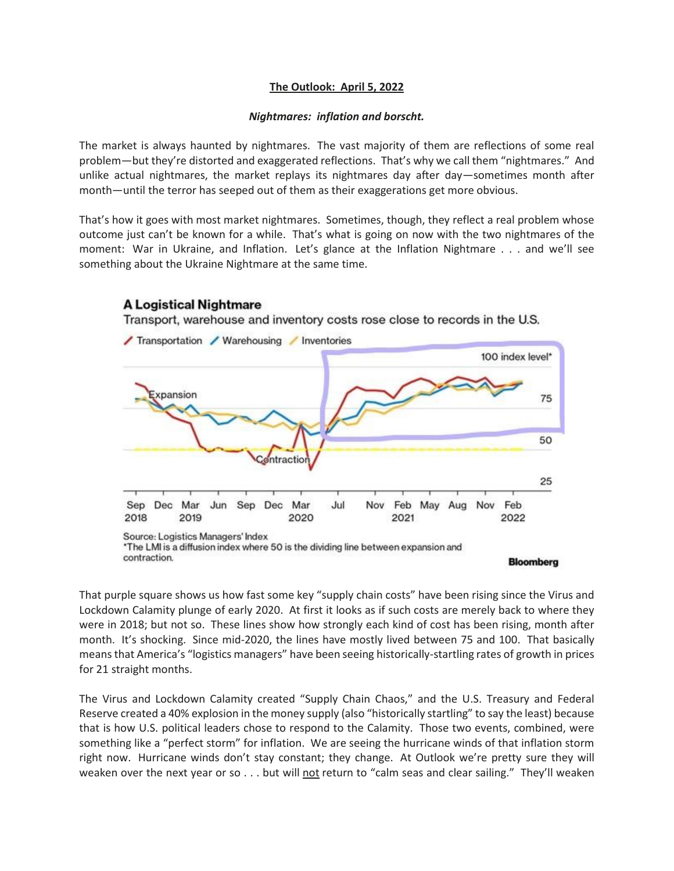## **The Outlook: April 5, 2022**

## *Nightmares: inflation and borscht.*

The market is always haunted by nightmares. The vast majority of them are reflections of some real problem—but they're distorted and exaggerated reflections. That's why we call them "nightmares." And unlike actual nightmares, the market replays its nightmares day after day—sometimes month after month—until the terror has seeped out of them as their exaggerations get more obvious.

That's how it goes with most market nightmares. Sometimes, though, they reflect a real problem whose outcome just can't be known for a while. That's what is going on now with the two nightmares of the moment: War in Ukraine, and Inflation. Let's glance at the Inflation Nightmare . . . and we'll see something about the Ukraine Nightmare at the same time.



That purple square shows us how fast some key "supply chain costs" have been rising since the Virus and Lockdown Calamity plunge of early 2020. At first it looks as if such costs are merely back to where they were in 2018; but not so. These lines show how strongly each kind of cost has been rising, month after month. It's shocking. Since mid-2020, the lines have mostly lived between 75 and 100. That basically means that America's "logistics managers" have been seeing historically-startling rates of growth in prices for 21 straight months.

The Virus and Lockdown Calamity created "Supply Chain Chaos," and the U.S. Treasury and Federal Reserve created a 40% explosion in the money supply (also "historically startling" to say the least) because that is how U.S. political leaders chose to respond to the Calamity. Those two events, combined, were something like a "perfect storm" for inflation. We are seeing the hurricane winds of that inflation storm right now. Hurricane winds don't stay constant; they change. At Outlook we're pretty sure they will weaken over the next year or so  $\dots$  but will not return to "calm seas and clear sailing." They'll weaken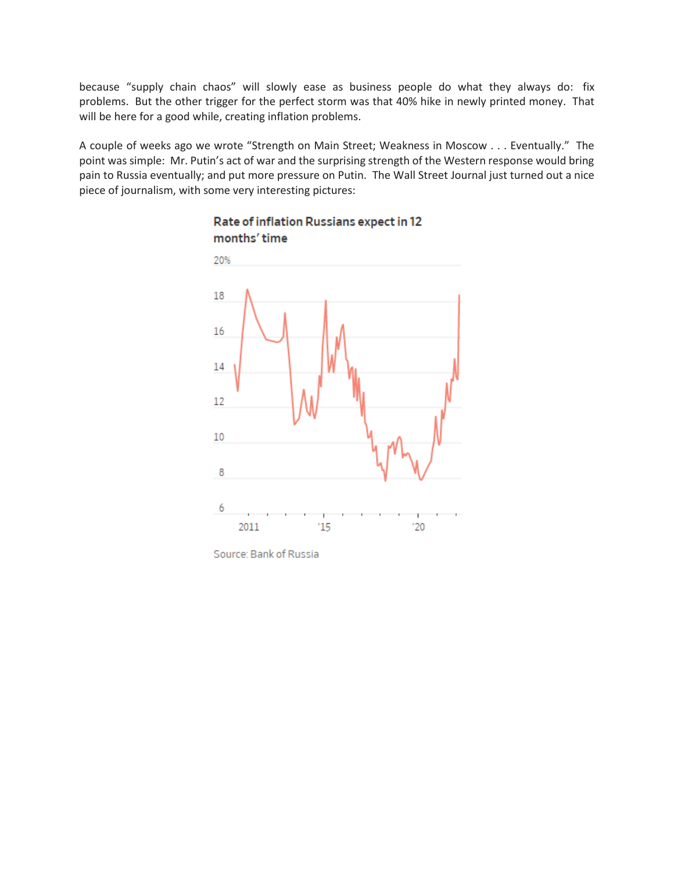because "supply chain chaos" will slowly ease as business people do what they always do: fix problems. But the other trigger for the perfect storm was that 40% hike in newly printed money. That will be here for a good while, creating inflation problems.

A couple of weeks ago we wrote "Strength on Main Street; Weakness in Moscow . . . Eventually." The point was simple: Mr. Putin's act of war and the surprising strength of the Western response would bring pain to Russia eventually; and put more pressure on Putin. The Wall Street Journal just turned out a nice piece of journalism, with some very interesting pictures:



## Rate of inflation Russians expect in 12 months' time

Source: Bank of Russia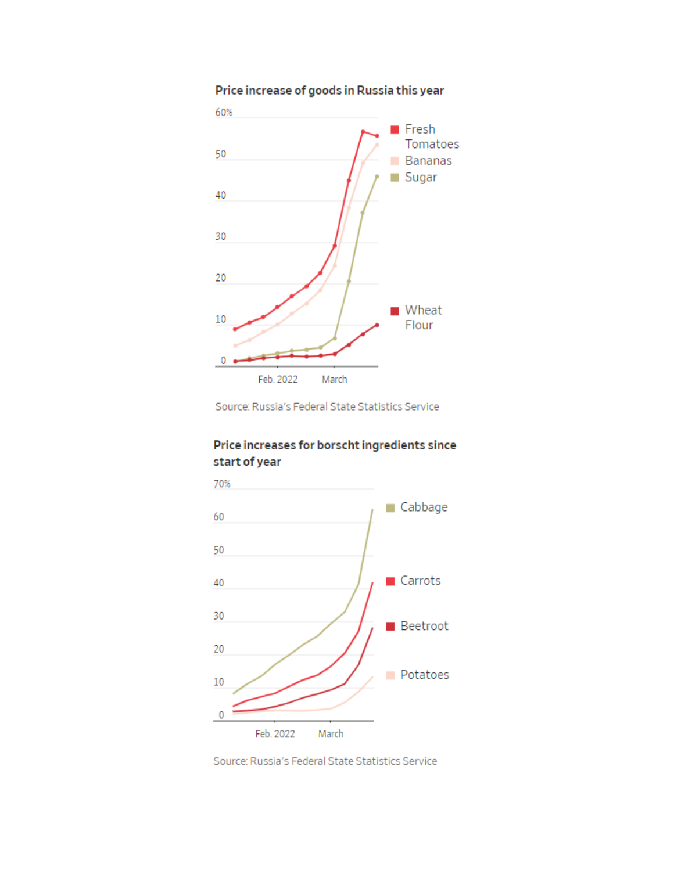



Source: Russia's Federal State Statistics Service

## Price increases for borscht ingredients since start of year



Source: Russia's Federal State Statistics Service